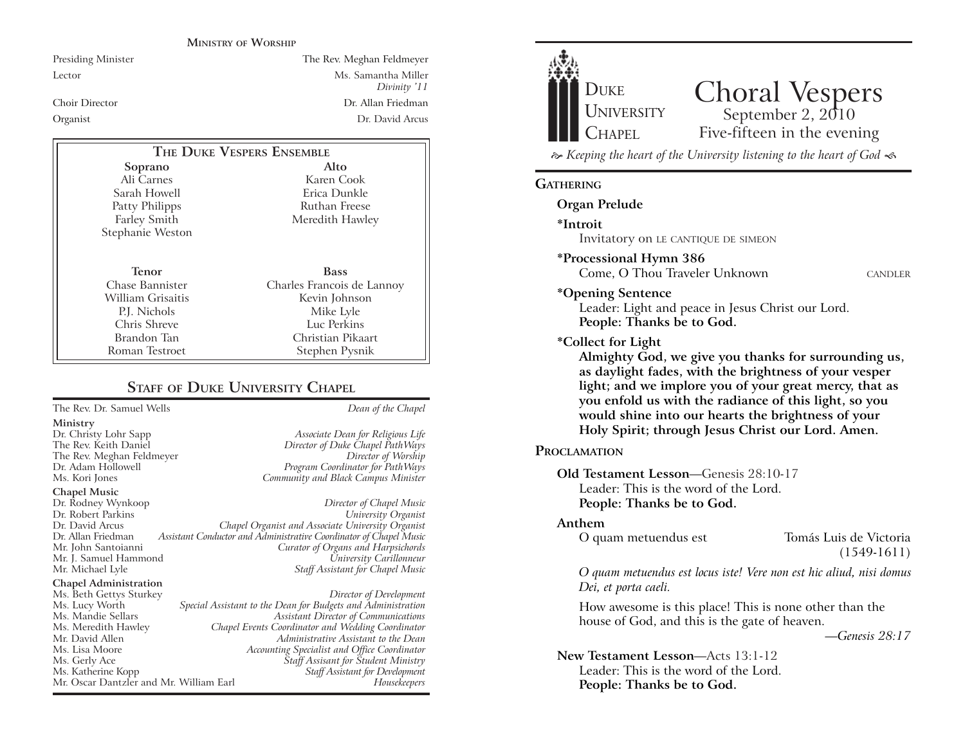#### **MINISTRY OF WORSHIP**

Presiding Minister The Rev. Meghan Feldmeyer Lector Ms. Samantha Miller *Divinity '11* Choir Director Dr. Allan Friedman Organist Dr. David Arcus

#### **Soprano** Ali Carnes Sarah Howell **Alto THE DUKE VESPERS ENSEMBLE**

Patty Philipps Farley Smith Stephanie Weston

**Tenor** Chase Bannister William Grisaitis P.J. Nichols Chris Shreve Brandon Tan Roman Testroet

Karen Cook Erica Dunkle Ruthan Freese Meredith Hawley

**Bass** Charles Francois de Lannoy Kevin Johnson Mike Lyle Luc Perkins Christian Pikaart Stephen Pysnik

# **STAFF OF DUKE UNIVERSITY CHAPEL**

# The Rev. Dr. Samuel Wells *Dean of the Chapel* **Ministry** Dr. Christy Lohr Sapp *Associate Dean for Religious Life* The Rev. Meghan Feldmeyer *Director of Worship* Dr. Adam Hollowell *Program Coordinator for PathWays* **Chapel Music** Dr. Rodney Wynkoop *Director of Chapel Music* Dr. Robert Parkins<br>Dr. David Arcus Dr. David Arcus *Chapel Organist and Associate University Organist* Mr. John Santoianni *Curator of Organs and Harpsichords* Mr. J. Samuel Hammond *University Carillonneur*

#### **Chapel Administration**

Director of Duke Chapel PathWays Community and Black Campus Minister

# Assistant Conductor and Administrative Coordinator of Chapel Music **Staff Assistant for Chapel Music**

Ms. Beth Gettys Sturkey *Director of Development* Ms. Lucy Worth *Special Assistant to the Dean for Budgets and Administration* Ms. Mandie Sellars *Assistant Director of Communications* Ms. Meredith Hawley *Chapel Events Coordinator and Wedding Coordinator* Mr. David Allen *Administrative Assistant to the Dean* Ms. Lisa Moore *Accounting Specialist and Office Coordinator* Ms. Gerly Ace *Staff Assisant for Student Ministry* **Staff Assistant for Development** Mr. Oscar Dantzler and Mr. William Earl *Housekeepers*



 $\approx$  Keeping the heart of the University listening to the heart of God  $\ll$ 

#### **GATHERING**

**Organ Prelude**

**\*Introit** 

Invitatory on LE CANTIQUE DE SIMEON

**\*Processional Hymn 386**

Come, O Thou Traveler Unknown CANDLER

**\*Opening Sentence**

Leader: Light and peace in Jesus Christ our Lord. **People: Thanks be to God.**

#### **\*Collect for Light**

**Almighty God, we give you thanks for surrounding us, as daylight fades, with the brightness of your vesper light; and we implore you of your great mercy, that as you enfold us with the radiance of this light, so you would shine into our hearts the brightness of your Holy Spirit; through Jesus Christ our Lord. Amen.** 

#### **PROCLAMATION**

**Old Testament Lesson—Genesis 28:10-17** Leader: This is the word of the Lord. **People: Thanks be to God.**

#### **Anthem**

O quam metuendus est Tomás Luis de Victoria

(1549-1611)

*O quam metuendus est locus iste! Vere non est hic aliud, nisi domus Dei, et porta caeli.*

How awesome is this place! This is none other than the house of God, and this is the gate of heaven.

*KGenesis 28:17*

**New Testament Lesson—Acts 13:1-12** Leader: This is the word of the Lord. **People: Thanks be to God.**